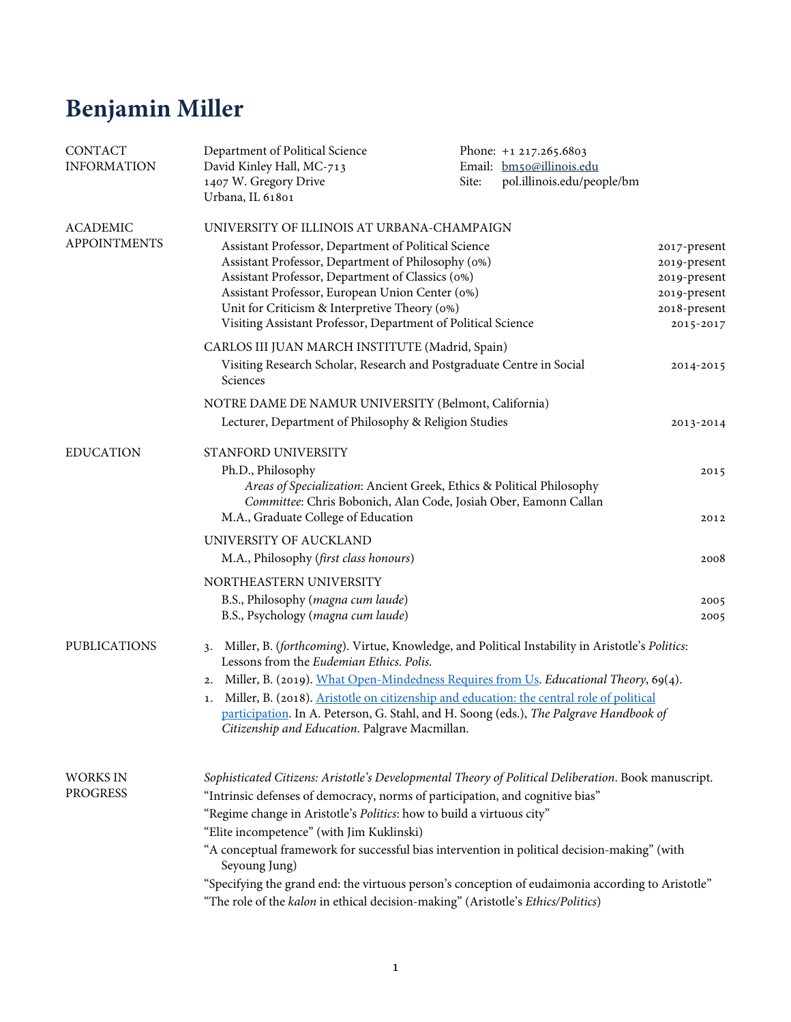## **Benjamin Miller**

| CONTACT<br><b>INFORMATION</b>          | Department of Political Science<br>David Kinley Hall, MC-713<br>1407 W. Gregory Drive<br>Urbana, IL 61801                                                                                                                                                                                                                                                                                                                                                                                                                                                                                                             | Phone: +1 217.265.6803<br>Email: bm50@illinois.edu<br>pol.illinois.edu/people/bm<br>Site:                                                 |                                                                              |
|----------------------------------------|-----------------------------------------------------------------------------------------------------------------------------------------------------------------------------------------------------------------------------------------------------------------------------------------------------------------------------------------------------------------------------------------------------------------------------------------------------------------------------------------------------------------------------------------------------------------------------------------------------------------------|-------------------------------------------------------------------------------------------------------------------------------------------|------------------------------------------------------------------------------|
| <b>ACADEMIC</b><br><b>APPOINTMENTS</b> | UNIVERSITY OF ILLINOIS AT URBANA-CHAMPAIGN<br>Assistant Professor, Department of Political Science<br>Assistant Professor, Department of Philosophy (0%)<br>Assistant Professor, Department of Classics (0%)<br>Assistant Professor, European Union Center (0%)<br>Unit for Criticism & Interpretive Theory (0%)                                                                                                                                                                                                                                                                                                      |                                                                                                                                           | 2017-present<br>2019-present<br>2019-present<br>2019-present<br>2018-present |
|                                        | Visiting Assistant Professor, Department of Political Science<br>CARLOS III JUAN MARCH INSTITUTE (Madrid, Spain)<br>Visiting Research Scholar, Research and Postgraduate Centre in Social                                                                                                                                                                                                                                                                                                                                                                                                                             |                                                                                                                                           | 2015-2017<br>2014-2015                                                       |
|                                        | Sciences<br>NOTRE DAME DE NAMUR UNIVERSITY (Belmont, California)<br>Lecturer, Department of Philosophy & Religion Studies                                                                                                                                                                                                                                                                                                                                                                                                                                                                                             |                                                                                                                                           |                                                                              |
| <b>EDUCATION</b>                       | STANFORD UNIVERSITY                                                                                                                                                                                                                                                                                                                                                                                                                                                                                                                                                                                                   |                                                                                                                                           | 2013-2014                                                                    |
|                                        | Ph.D., Philosophy<br>M.A., Graduate College of Education                                                                                                                                                                                                                                                                                                                                                                                                                                                                                                                                                              | Areas of Specialization: Ancient Greek, Ethics & Political Philosophy<br>Committee: Chris Bobonich, Alan Code, Josiah Ober, Eamonn Callan | 2015<br>2012                                                                 |
|                                        | UNIVERSITY OF AUCKLAND                                                                                                                                                                                                                                                                                                                                                                                                                                                                                                                                                                                                |                                                                                                                                           |                                                                              |
|                                        | M.A., Philosophy (first class honours)                                                                                                                                                                                                                                                                                                                                                                                                                                                                                                                                                                                |                                                                                                                                           | 2008                                                                         |
|                                        | NORTHEASTERN UNIVERSITY                                                                                                                                                                                                                                                                                                                                                                                                                                                                                                                                                                                               |                                                                                                                                           |                                                                              |
|                                        | B.S., Philosophy (magna cum laude)<br>B.S., Psychology (magna cum laude)                                                                                                                                                                                                                                                                                                                                                                                                                                                                                                                                              |                                                                                                                                           | 2005<br>2005                                                                 |
| <b>PUBLICATIONS</b>                    | Miller, B. (forthcoming). Virtue, Knowledge, and Political Instability in Aristotle's Politics:<br>3.<br>Lessons from the <i>Eudemian Ethics</i> , <i>Polis</i> ,<br>Miller, B. (2019). What Open-Mindedness Requires from Us. Educational Theory, 69(4).<br>2.<br>Miller, B. (2018). Aristotle on citizenship and education: the central role of political<br>1.<br>participation. In A. Peterson, G. Stahl, and H. Soong (eds.), The Palgrave Handbook of<br>Citizenship and Education. Palgrave Macmillan.                                                                                                         |                                                                                                                                           |                                                                              |
| <b>WORKS IN</b><br><b>PROGRESS</b>     | Sophisticated Citizens: Aristotle's Developmental Theory of Political Deliberation. Book manuscript.<br>"Intrinsic defenses of democracy, norms of participation, and cognitive bias"<br>"Regime change in Aristotle's Politics: how to build a virtuous city"<br>"Elite incompetence" (with Jim Kuklinski)<br>"A conceptual framework for successful bias intervention in political decision-making" (with<br>Seyoung Jung)<br>"Specifying the grand end: the virtuous person's conception of eudaimonia according to Aristotle"<br>"The role of the kalon in ethical decision-making" (Aristotle's Ethics/Politics) |                                                                                                                                           |                                                                              |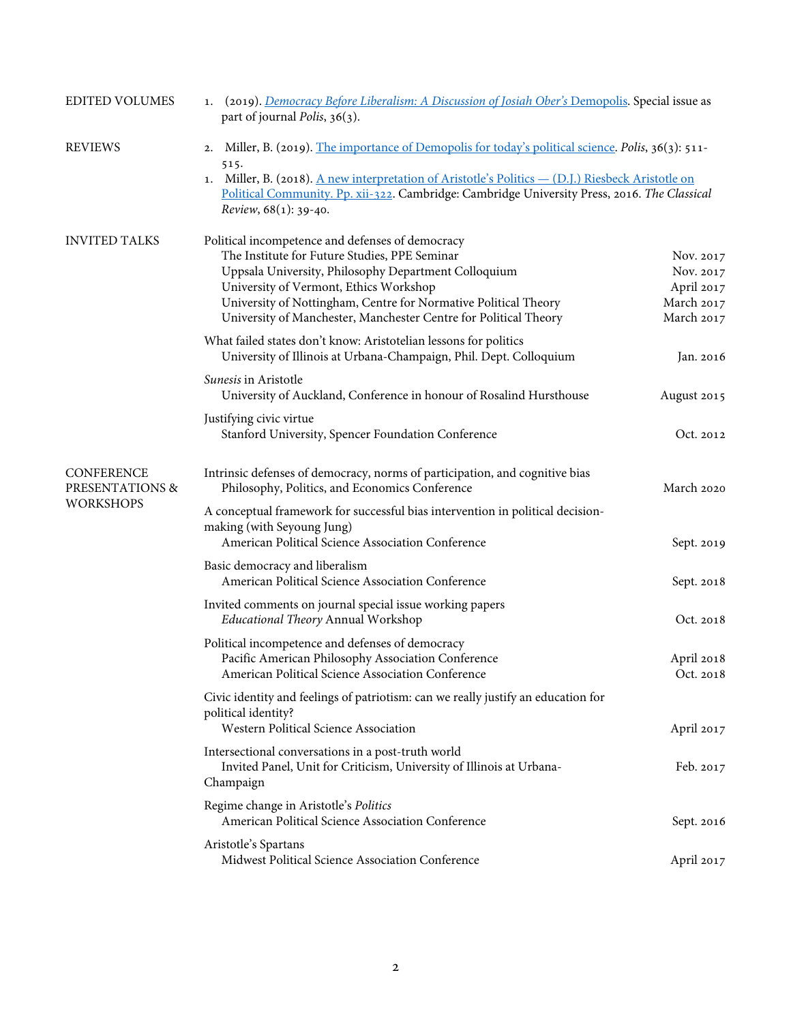| <b>EDITED VOLUMES</b>                                    | 1. (2019). Democracy Before Liberalism: A Discussion of Josiah Ober's Demopolis. Special issue as<br>part of journal <i>Polis</i> , $36(3)$ .                                                                                                                                                                                                        |                                                                  |  |
|----------------------------------------------------------|------------------------------------------------------------------------------------------------------------------------------------------------------------------------------------------------------------------------------------------------------------------------------------------------------------------------------------------------------|------------------------------------------------------------------|--|
| <b>REVIEWS</b>                                           | 2. Miller, B. (2019). The importance of Demopolis for today's political science. Polis, 36(3): 511-<br>515.<br>1. Miller, B. (2018). A new interpretation of Aristotle's Politics — (D.J.) Riesbeck Aristotle on<br>Political Community. Pp. xii-322. Cambridge: Cambridge University Press, 2016. The Classical<br><i>Review</i> , $68(1)$ : 39-40. |                                                                  |  |
| <b>INVITED TALKS</b>                                     | Political incompetence and defenses of democracy<br>The Institute for Future Studies, PPE Seminar<br>Uppsala University, Philosophy Department Colloquium<br>University of Vermont, Ethics Workshop<br>University of Nottingham, Centre for Normative Political Theory<br>University of Manchester, Manchester Centre for Political Theory           | Nov. 2017<br>Nov. 2017<br>April 2017<br>March 2017<br>March 2017 |  |
|                                                          | What failed states don't know: Aristotelian lessons for politics<br>University of Illinois at Urbana-Champaign, Phil. Dept. Colloquium                                                                                                                                                                                                               | Jan. 2016                                                        |  |
|                                                          | Sunesis in Aristotle<br>University of Auckland, Conference in honour of Rosalind Hursthouse                                                                                                                                                                                                                                                          | August 2015                                                      |  |
|                                                          | Justifying civic virtue<br>Stanford University, Spencer Foundation Conference                                                                                                                                                                                                                                                                        | Oct. 2012                                                        |  |
| <b>CONFERENCE</b><br>PRESENTATIONS &<br><b>WORKSHOPS</b> | Intrinsic defenses of democracy, norms of participation, and cognitive bias<br>Philosophy, Politics, and Economics Conference                                                                                                                                                                                                                        | March 2020                                                       |  |
|                                                          | A conceptual framework for successful bias intervention in political decision-<br>making (with Seyoung Jung)<br>American Political Science Association Conference                                                                                                                                                                                    | Sept. 2019                                                       |  |
|                                                          | Basic democracy and liberalism<br>American Political Science Association Conference                                                                                                                                                                                                                                                                  | Sept. 2018                                                       |  |
|                                                          | Invited comments on journal special issue working papers<br>Educational Theory Annual Workshop                                                                                                                                                                                                                                                       | Oct. 2018                                                        |  |
|                                                          | Political incompetence and defenses of democracy<br>Pacific American Philosophy Association Conference<br>American Political Science Association Conference                                                                                                                                                                                          | April 2018<br>Oct. 2018                                          |  |
|                                                          | Civic identity and feelings of patriotism: can we really justify an education for<br>political identity?<br>Western Political Science Association                                                                                                                                                                                                    | April 2017                                                       |  |
|                                                          | Intersectional conversations in a post-truth world<br>Invited Panel, Unit for Criticism, University of Illinois at Urbana-<br>Champaign                                                                                                                                                                                                              | Feb. 2017                                                        |  |
|                                                          | Regime change in Aristotle's Politics<br>American Political Science Association Conference                                                                                                                                                                                                                                                           | Sept. 2016                                                       |  |
|                                                          | Aristotle's Spartans<br>Midwest Political Science Association Conference                                                                                                                                                                                                                                                                             | April 2017                                                       |  |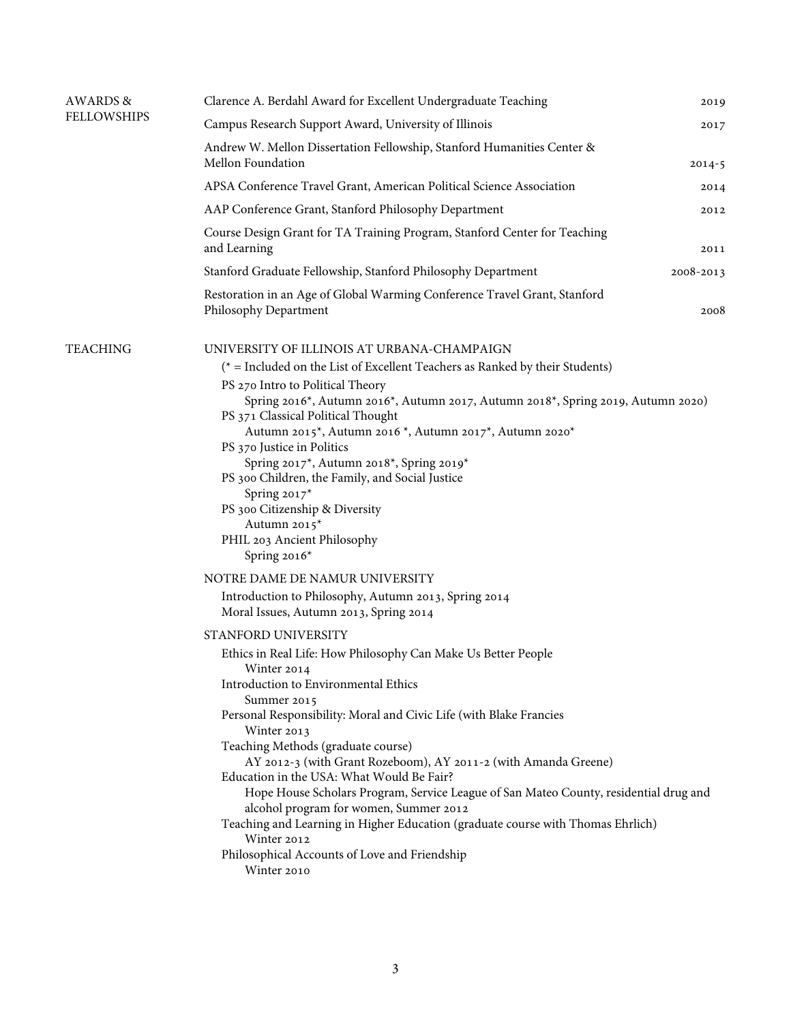| <b>AWARDS &amp;</b><br><b>FELLOWSHIPS</b> | Clarence A. Berdahl Award for Excellent Undergraduate Teaching                                                                                                                                                                                                                                                                                                                                                                                                                                                                                                                                                                                                                                                                                                                                                                                                                                                                                                                                                                                                                                                                                                                                                                                                                                                                                                                                                                          | 2019       |
|-------------------------------------------|-----------------------------------------------------------------------------------------------------------------------------------------------------------------------------------------------------------------------------------------------------------------------------------------------------------------------------------------------------------------------------------------------------------------------------------------------------------------------------------------------------------------------------------------------------------------------------------------------------------------------------------------------------------------------------------------------------------------------------------------------------------------------------------------------------------------------------------------------------------------------------------------------------------------------------------------------------------------------------------------------------------------------------------------------------------------------------------------------------------------------------------------------------------------------------------------------------------------------------------------------------------------------------------------------------------------------------------------------------------------------------------------------------------------------------------------|------------|
|                                           | Campus Research Support Award, University of Illinois                                                                                                                                                                                                                                                                                                                                                                                                                                                                                                                                                                                                                                                                                                                                                                                                                                                                                                                                                                                                                                                                                                                                                                                                                                                                                                                                                                                   | 2017       |
|                                           | Andrew W. Mellon Dissertation Fellowship, Stanford Humanities Center &<br>Mellon Foundation                                                                                                                                                                                                                                                                                                                                                                                                                                                                                                                                                                                                                                                                                                                                                                                                                                                                                                                                                                                                                                                                                                                                                                                                                                                                                                                                             | $2014 - 5$ |
|                                           | APSA Conference Travel Grant, American Political Science Association                                                                                                                                                                                                                                                                                                                                                                                                                                                                                                                                                                                                                                                                                                                                                                                                                                                                                                                                                                                                                                                                                                                                                                                                                                                                                                                                                                    | 2014       |
|                                           | AAP Conference Grant, Stanford Philosophy Department                                                                                                                                                                                                                                                                                                                                                                                                                                                                                                                                                                                                                                                                                                                                                                                                                                                                                                                                                                                                                                                                                                                                                                                                                                                                                                                                                                                    | 2012       |
|                                           | Course Design Grant for TA Training Program, Stanford Center for Teaching<br>and Learning                                                                                                                                                                                                                                                                                                                                                                                                                                                                                                                                                                                                                                                                                                                                                                                                                                                                                                                                                                                                                                                                                                                                                                                                                                                                                                                                               | 2011       |
|                                           | Stanford Graduate Fellowship, Stanford Philosophy Department                                                                                                                                                                                                                                                                                                                                                                                                                                                                                                                                                                                                                                                                                                                                                                                                                                                                                                                                                                                                                                                                                                                                                                                                                                                                                                                                                                            | 2008-2013  |
|                                           | Restoration in an Age of Global Warming Conference Travel Grant, Stanford<br>Philosophy Department                                                                                                                                                                                                                                                                                                                                                                                                                                                                                                                                                                                                                                                                                                                                                                                                                                                                                                                                                                                                                                                                                                                                                                                                                                                                                                                                      | 2008       |
| <b>TEACHING</b>                           | UNIVERSITY OF ILLINOIS AT URBANA-CHAMPAIGN<br>( $*$ = Included on the List of Excellent Teachers as Ranked by their Students)<br>PS 270 Intro to Political Theory<br>Spring 2016*, Autumn 2016*, Autumn 2017, Autumn 2018*, Spring 2019, Autumn 2020)<br>PS 371 Classical Political Thought<br>Autumn 2015*, Autumn 2016 *, Autumn 2017*, Autumn 2020*<br>PS 370 Justice in Politics<br>Spring 2017*, Autumn 2018*, Spring 2019*<br>PS 300 Children, the Family, and Social Justice<br>Spring 2017*<br>PS 300 Citizenship & Diversity<br>Autumn 2015*<br>PHIL 203 Ancient Philosophy<br>Spring 2016*<br>NOTRE DAME DE NAMUR UNIVERSITY<br>Introduction to Philosophy, Autumn 2013, Spring 2014<br>Moral Issues, Autumn 2013, Spring 2014<br>STANFORD UNIVERSITY<br>Ethics in Real Life: How Philosophy Can Make Us Better People<br>Winter 2014<br>Introduction to Environmental Ethics<br>Summer 2015<br>Personal Responsibility: Moral and Civic Life (with Blake Francies<br>Winter 2013<br>Teaching Methods (graduate course)<br>AY 2012-3 (with Grant Rozeboom), AY 2011-2 (with Amanda Greene)<br>Education in the USA: What Would Be Fair?<br>Hope House Scholars Program, Service League of San Mateo County, residential drug and<br>alcohol program for women, Summer 2012<br>Teaching and Learning in Higher Education (graduate course with Thomas Ehrlich)<br>Winter 2012<br>Philosophical Accounts of Love and Friendship |            |
|                                           | Winter 2010                                                                                                                                                                                                                                                                                                                                                                                                                                                                                                                                                                                                                                                                                                                                                                                                                                                                                                                                                                                                                                                                                                                                                                                                                                                                                                                                                                                                                             |            |